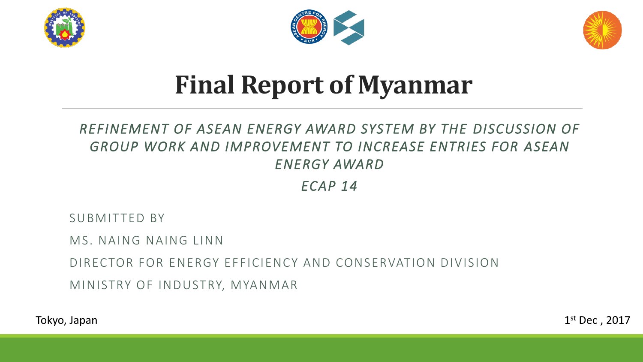





# **Final Report of Myanmar**

#### *REFINEMENT OF ASEAN ENERGY AWARD SYSTEM BY THE DISCUSSION OF GROUP WORK AND IMPROVEMENT TO INCREASE ENTRIES FOR ASEAN ENERGY AWARD*

*ECAP 14*

SUBMITTED BY

MS. NAING NAING LINN

DIRECTOR FOR ENERGY EFFICIENCY AND CONSERVATION DIVISION

MINISTRY OF INDUSTRY, MYANMAR

1 Tokyo, Japan st Dec , 2017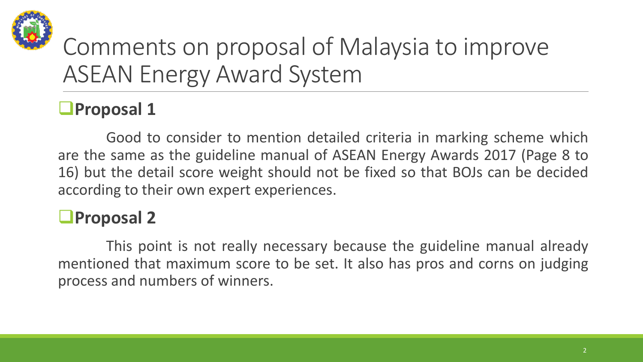

## Comments on proposal of Malaysia to improve ASEAN Energy Award System

### **Proposal 1**

Good to consider to mention detailed criteria in marking scheme which are the same as the guideline manual of ASEAN Energy Awards 2017 (Page 8 to 16) but the detail score weight should not be fixed so that BOJs can be decided according to their own expert experiences.

### **Proposal 2**

This point is not really necessary because the guideline manual already mentioned that maximum score to be set. It also has pros and corns on judging process and numbers of winners.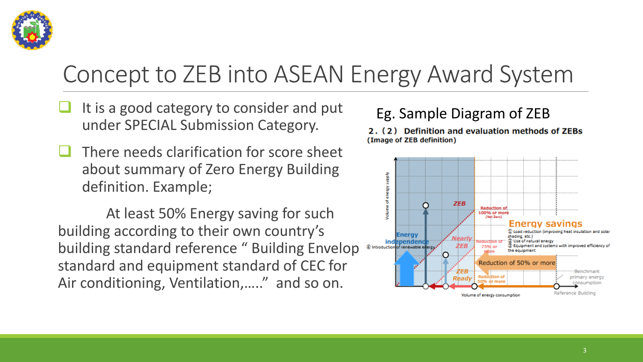

### Concept to ZEB into ASEAN Energy Award System

- It is a good category to consider and put under SPECIAL Submission Category.
- There needs clarification for score sheet about summary of Zero Energy Building definition. Example;

At least 50% Energy saving for such building according to their own country's building standard reference " Building Envelop standard and equipment standard of CEC for Air conditioning, Ventilation,....." and so on.

#### Eg. Sample Diagram of ZEB

2. (2) Definition and evaluation methods of ZEBs (Image of ZEB definition)

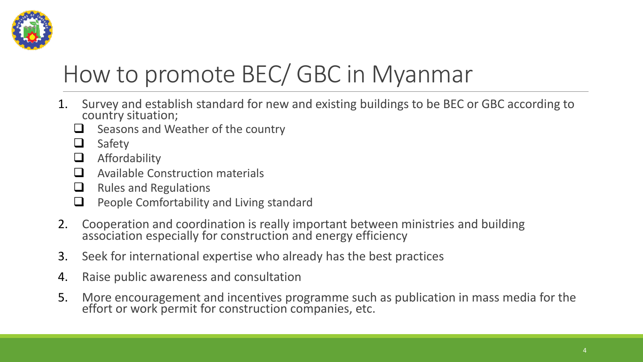

## How to promote BEC/ GBC in Myanmar

- 1. Survey and establish standard for new and existing buildings to be BEC or GBC according to country situation;
	- $\Box$  Seasons and Weather of the country
	- **□** Safety
	- $\Box$  Affordability
	- $\Box$  Available Construction materials
	- $\Box$  Rules and Regulations
	- $\Box$  People Comfortability and Living standard
- 2. Cooperation and coordination is really important between ministries and building association especially for construction and energy efficiency
- 3. Seek for international expertise who already has the best practices
- 4. Raise public awareness and consultation
- 5. More encouragement and incentives programme such as publication in mass media for the effort or work permit for construction companies, etc.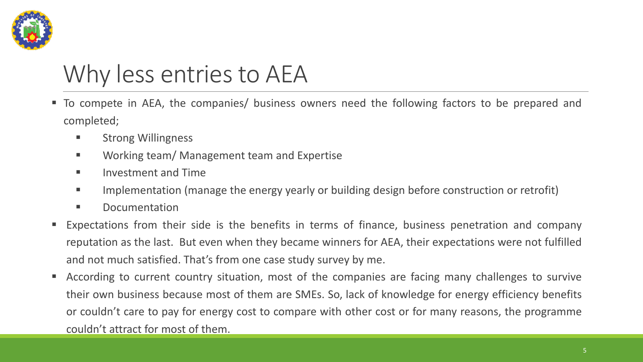

### Why less entries to AEA

- To compete in AEA, the companies/ business owners need the following factors to be prepared and completed;
	- **E** Strong Willingness
	- **Norking team/ Management team and Expertise**
	- **Investment and Time**
	- Implementation (manage the energy yearly or building design before construction or retrofit)
	- **E** Documentation
- Expectations from their side is the benefits in terms of finance, business penetration and company reputation as the last. But even when they became winners for AEA, their expectations were not fulfilled and not much satisfied. That's from one case study survey by me.
- According to current country situation, most of the companies are facing many challenges to survive their own business because most of them are SMEs. So, lack of knowledge for energy efficiency benefits or couldn't care to pay for energy cost to compare with other cost or for many reasons, the programme couldn't attract for most of them.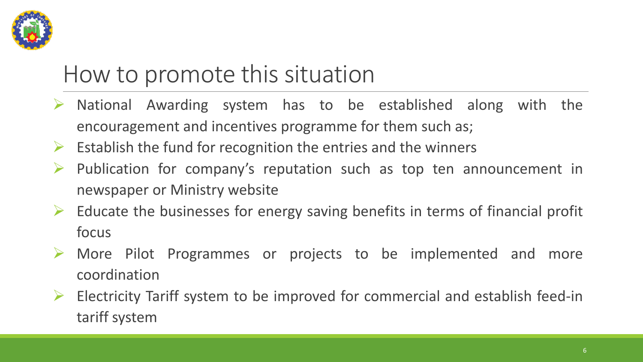

### How to promote this situation

- $\triangleright$  National Awarding system has to be established along with the encouragement and incentives programme for them such as;
- $\triangleright$  Establish the fund for recognition the entries and the winners
- $\triangleright$  Publication for company's reputation such as top ten announcement in newspaper or Ministry website
- $\triangleright$  Educate the businesses for energy saving benefits in terms of financial profit focus
- More Pilot Programmes or projects to be implemented and more coordination
- Electricity Tariff system to be improved for commercial and establish feed-in tariff system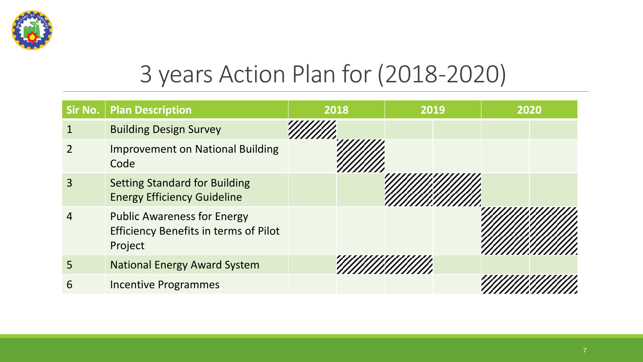

### 3 years Action Plan for (2018-2020)

| Sir No. | <b>Plan Description</b>                                                                       | 2018 | 2019 | 2020 |
|---------|-----------------------------------------------------------------------------------------------|------|------|------|
|         | <b>Building Design Survey</b>                                                                 |      |      |      |
|         | <b>Improvement on National Building</b><br>Code                                               |      |      |      |
| 3       | <b>Setting Standard for Building</b><br><b>Energy Efficiency Guideline</b>                    |      |      |      |
|         | <b>Public Awareness for Energy</b><br><b>Efficiency Benefits in terms of Pilot</b><br>Project |      |      |      |
| 5       | <b>National Energy Award System</b>                                                           |      |      |      |
| 6       | <b>Incentive Programmes</b>                                                                   |      |      |      |